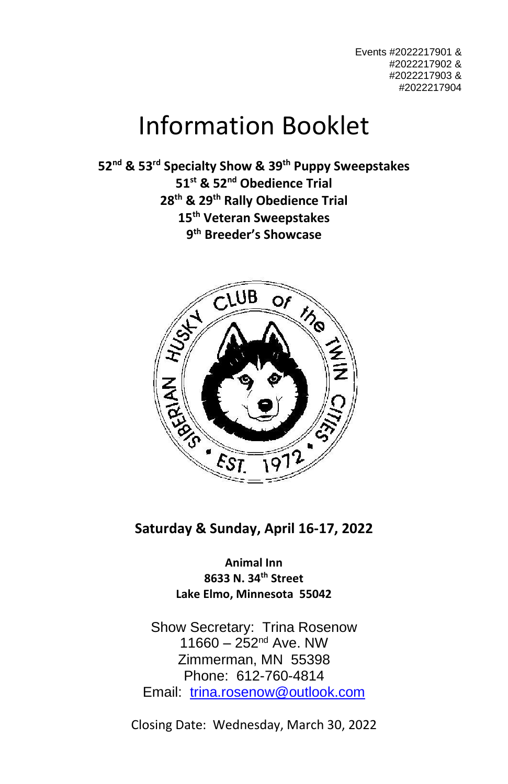Events #2022217901 & #2022217902 & #2022217903 & #2022217904

# Information Booklet

 **nd & 53 rd Specialty Show & 39 th Puppy Sweepstakes st & 52 nd Obedience Trial th & 29 th Rally Obedience Trial th Veteran Sweepstakes th Breeder's Showcase**



**Saturday & Sunday, April 16-17, 2022**

**Animal Inn 8633 N. 34th Street Lake Elmo, Minnesota 55042**

Show Secretary: Trina Rosenow  $11660 - 252^{nd}$  Ave. NW Zimmerman, MN 55398 Phone: 612-760-4814 Email: [trina.rosenow@outlook.com](mailto:trina.rosenow@outlook.com)

Closing Date: Wednesday, March 30, 2022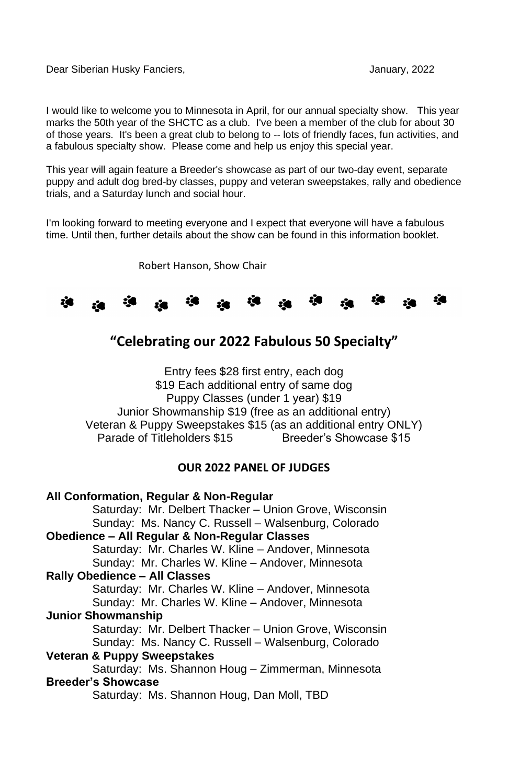Dear Siberian Husky Fanciers, January, 2022

I would like to welcome you to Minnesota in April, for our annual specialty show. This year marks the 50th year of the SHCTC as a club. I've been a member of the club for about 30 of those years. It's been a great club to belong to -- lots of friendly faces, fun activities, and a fabulous specialty show. Please come and help us enjoy this special year.

This year will again feature a Breeder's showcase as part of our two-day event, separate puppy and adult dog bred-by classes, puppy and veteran sweepstakes, rally and obedience trials, and a Saturday lunch and social hour.

I'm looking forward to meeting everyone and I expect that everyone will have a fabulous time. Until then, further details about the show can be found in this information booklet.

Robert Hanson, Show Chair



## **"Celebrating our 2022 Fabulous 50 Specialty"**

Entry fees \$28 first entry, each dog \$19 Each additional entry of same dog Puppy Classes (under 1 year) \$19 Junior Showmanship \$19 (free as an additional entry) Veteran & Puppy Sweepstakes \$15 (as an additional entry ONLY) Parade of Titleholders \$15 Breeder's Showcase \$15

#### **OUR 2022 PANEL OF JUDGES**

#### **All Conformation, Regular & Non-Regular** Saturday: Mr. Delbert Thacker – Union Grove, Wisconsin Sunday: Ms. Nancy C. Russell – Walsenburg, Colorado **Obedience – All Regular & Non-Regular Classes** Saturday: Mr. Charles W. Kline – Andover, Minnesota Sunday: Mr. Charles W. Kline – Andover, Minnesota **Rally Obedience – All Classes** Saturday: Mr. Charles W. Kline – Andover, Minnesota Sunday: Mr. Charles W. Kline – Andover, Minnesota **Junior Showmanship** Saturday: Mr. Delbert Thacker – Union Grove, Wisconsin Sunday: Ms. Nancy C. Russell – Walsenburg, Colorado **Veteran & Puppy Sweepstakes** Saturday: Ms. Shannon Houg – Zimmerman, Minnesota **Breeder's Showcase** Saturday: Ms. Shannon Houg, Dan Moll, TBD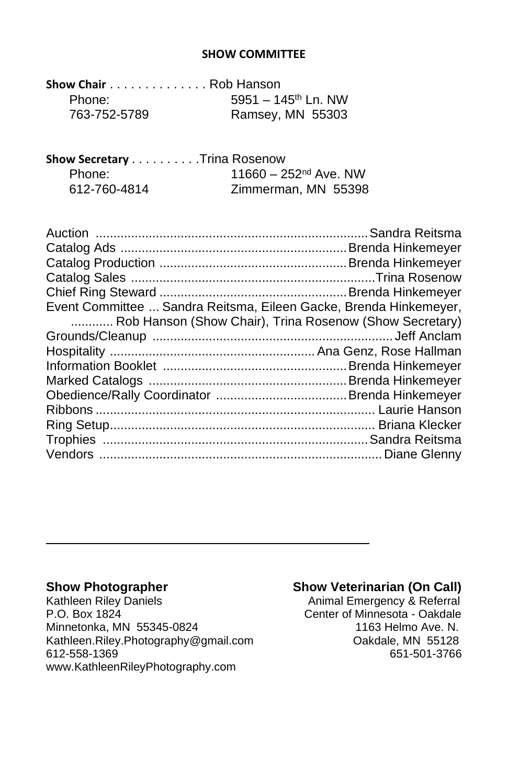#### **SHOW COMMITTEE**

| Show Chair Rob Hanson |                                 |
|-----------------------|---------------------------------|
| Phone:                | 5951 - $145^{\text{th}}$ Ln. NW |
| 763-752-5789          | Ramsey, MN 55303                |

| Show Secretary Trina Rosenow |                         |
|------------------------------|-------------------------|
| Phone:                       | $11660 - 252nd$ Ave. NW |
| 612-760-4814                 | Zimmerman, MN 55398     |

| Event Committee  Sandra Reitsma, Eileen Gacke, Brenda Hinkemeyer, |
|-------------------------------------------------------------------|
| Rob Hanson (Show Chair), Trina Rosenow (Show Secretary)           |
|                                                                   |
|                                                                   |
|                                                                   |
|                                                                   |
|                                                                   |
|                                                                   |
|                                                                   |
|                                                                   |
|                                                                   |
|                                                                   |

Kathleen Riley Daniels **Animal Emergency & Referral** P.O. Box 1824 Center of Minnesota - Oakdale Minnetonka, MN 55345-0824<br>
Kathleen.Rilev.Photography@gmail.com Oakdale. MN 55128 [Kathleen.Riley.Photography@gmail.com](mailto:Kathleen.Riley.Photography@gmail.com) Oakdale, MN 55128 612-558-1369 [www.KathleenRileyPhotography.com](http://www.kathleenrileyphotography.com/)

#### **Show Photographer Show Veterinarian (On Call)**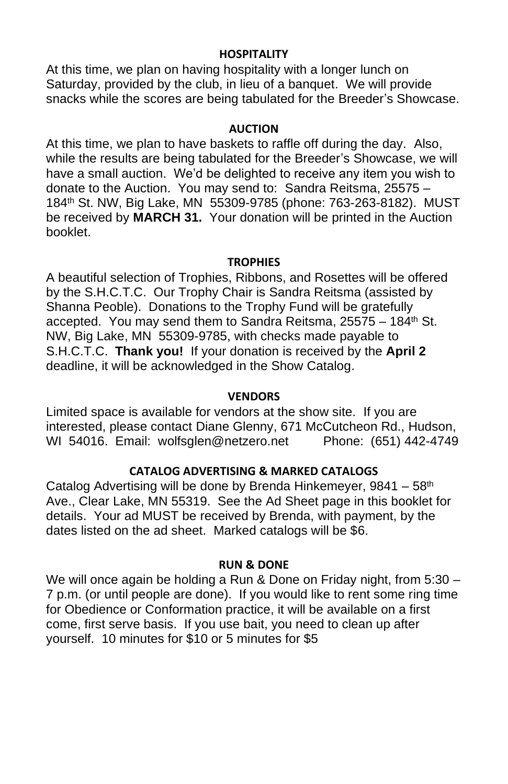#### **HOSPITALITY**

At this time, we plan on having hospitality with a longer lunch on Saturday, provided by the club, in lieu of a banquet. We will provide snacks while the scores are being tabulated for the Breeder's Showcase.

#### **AUCTION**

At this time, we plan to have baskets to raffle off during the day. Also, while the results are being tabulated for the Breeder's Showcase, we will have a small auction. We'd be delighted to receive any item you wish to donate to the Auction. You may send to: Sandra Reitsma, 25575 – 184th St. NW, Big Lake, MN 55309-9785 (phone: 763-263-8182). MUST be received by **MARCH 31.** Your donation will be printed in the Auction booklet.

#### **TROPHIES**

A beautiful selection of Trophies, Ribbons, and Rosettes will be offered by the S.H.C.T.C. Our Trophy Chair is Sandra Reitsma (assisted by Shanna Peoble). Donations to the Trophy Fund will be gratefully accepted. You may send them to Sandra Reitsma, 25575 – 184th St. NW, Big Lake, MN 55309-9785, with checks made payable to S.H.C.T.C. **Thank you!** If your donation is received by the **April 2** deadline, it will be acknowledged in the Show Catalog.

#### **VENDORS**

Limited space is available for vendors at the show site. If you are interested, please contact Diane Glenny, 671 McCutcheon Rd., Hudson,<br>WI 54016. Email: wolfsglen@netzero.net Phone: (651) 442-4749 WI 54016. Email: [wolfsglen@netzero.net](mailto:wolfsglen@netzero.net)

### **CATALOG ADVERTISING & MARKED CATALOGS**

Catalog Advertising will be done by Brenda Hinkemeyer, 9841 - 58<sup>th</sup> Ave., Clear Lake, MN 55319. See the Ad Sheet page in this booklet for details. Your ad MUST be received by Brenda, with payment, by the dates listed on the ad sheet. Marked catalogs will be \$6.

#### **RUN & DONE**

We will once again be holding a Run & Done on Friday night, from 5:30 – 7 p.m. (or until people are done). If you would like to rent some ring time for Obedience or Conformation practice, it will be available on a first come, first serve basis. If you use bait, you need to clean up after yourself. 10 minutes for \$10 or 5 minutes for \$5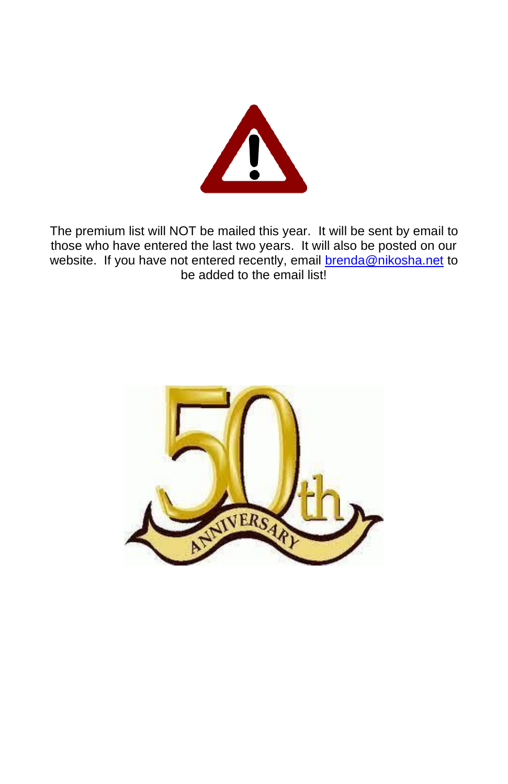

The premium list will NOT be mailed this year. It will be sent by email to those who have entered the last two years. It will also be posted on our website. If you have not entered recently, email [brenda@nikosha.net](mailto:brenda@nikosha.net) to be added to the email list!

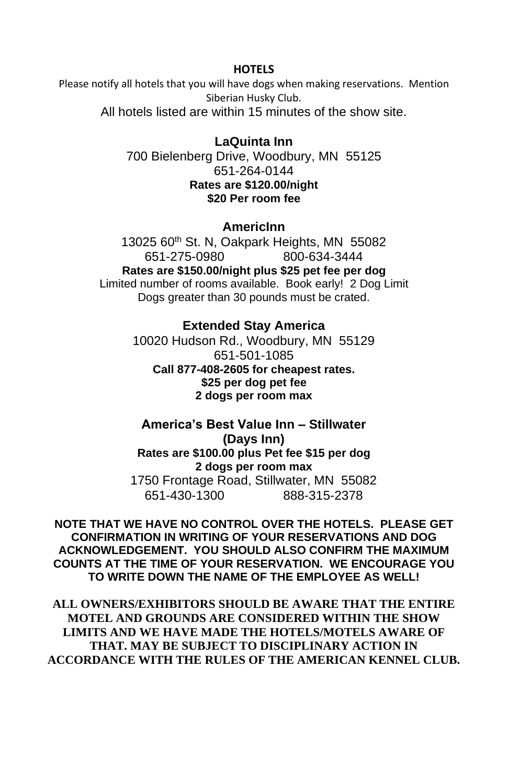#### **HOTELS**

Please notify all hotels that you will have dogs when making reservations. Mention Siberian Husky Club.

All hotels listed are within 15 minutes of the show site.

**LaQuinta Inn** 700 Bielenberg Drive, Woodbury, MN 55125 651-264-0144 **Rates are \$120.00/night \$20 Per room fee**

#### **AmericInn**

13025 60<sup>th</sup> St. N, Oakpark Heights, MN 55082 651-275-0980 800-634-3444 **Rates are \$150.00/night plus \$25 pet fee per dog** Limited number of rooms available. Book early! 2 Dog Limit Dogs greater than 30 pounds must be crated.

# **Extended Stay America**

10020 Hudson Rd., Woodbury, MN 55129 651-501-1085 **Call 877-408-2605 for cheapest rates. \$25 per dog pet fee 2 dogs per room max**

**America's Best Value Inn – Stillwater (Days Inn) Rates are \$100.00 plus Pet fee \$15 per dog 2 dogs per room max** 1750 Frontage Road, Stillwater, MN 55082 651-430-1300 888-315-2378

**NOTE THAT WE HAVE NO CONTROL OVER THE HOTELS. PLEASE GET CONFIRMATION IN WRITING OF YOUR RESERVATIONS AND DOG ACKNOWLEDGEMENT. YOU SHOULD ALSO CONFIRM THE MAXIMUM COUNTS AT THE TIME OF YOUR RESERVATION. WE ENCOURAGE YOU TO WRITE DOWN THE NAME OF THE EMPLOYEE AS WELL!**

**ALL OWNERS/EXHIBITORS SHOULD BE AWARE THAT THE ENTIRE MOTEL AND GROUNDS ARE CONSIDERED WITHIN THE SHOW LIMITS AND WE HAVE MADE THE HOTELS/MOTELS AWARE OF THAT. MAY BE SUBJECT TO DISCIPLINARY ACTION IN ACCORDANCE WITH THE RULES OF THE AMERICAN KENNEL CLUB.**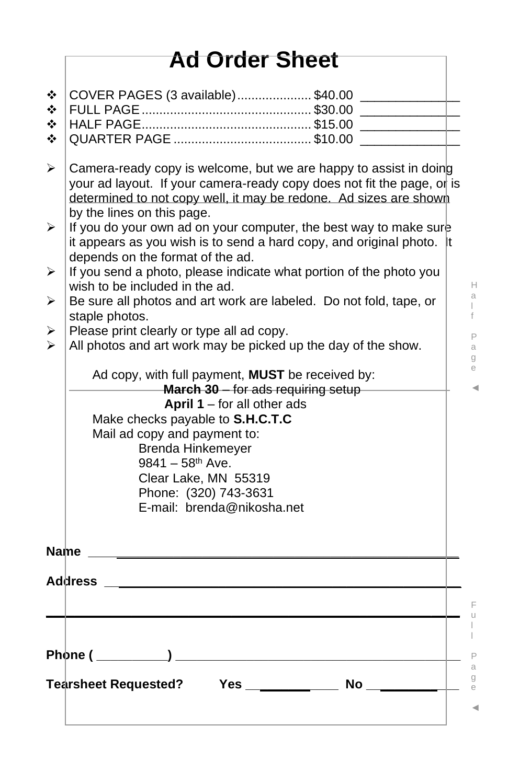|             | <b>Ad Order Sheet</b>                                                                                                                                                                                                                          |  |  |
|-------------|------------------------------------------------------------------------------------------------------------------------------------------------------------------------------------------------------------------------------------------------|--|--|
| ❖           | COVER PAGES (3 available)\$40.00                                                                                                                                                                                                               |  |  |
| ❖           |                                                                                                                                                                                                                                                |  |  |
| ❖           |                                                                                                                                                                                                                                                |  |  |
| ❖           |                                                                                                                                                                                                                                                |  |  |
| ≻           | Camera-ready copy is welcome, but we are happy to assist in doing<br>your ad layout. If your camera-ready copy does not fit the page, or is<br>determined to not copy well, it may be redone. Ad sizes are shown<br>by the lines on this page. |  |  |
| ⋗           | If you do your own ad on your computer, the best way to make sure<br>it appears as you wish is to send a hard copy, and original photo.<br>It.<br>depends on the format of the ad.                                                             |  |  |
| ⋗           | If you send a photo, please indicate what portion of the photo you                                                                                                                                                                             |  |  |
| ⋗           | wish to be included in the ad.<br>Be sure all photos and art work are labeled. Do not fold, tape, or                                                                                                                                           |  |  |
|             | staple photos.                                                                                                                                                                                                                                 |  |  |
| ➤           | Please print clearly or type all ad copy.                                                                                                                                                                                                      |  |  |
|             | All photos and art work may be picked up the day of the show.                                                                                                                                                                                  |  |  |
|             | Ad copy, with full payment, MUST be received by:                                                                                                                                                                                               |  |  |
|             | March 30 - for ads requiring setup                                                                                                                                                                                                             |  |  |
|             | <b>April 1</b> – for all other ads                                                                                                                                                                                                             |  |  |
|             | Make checks payable to S.H.C.T.C                                                                                                                                                                                                               |  |  |
|             | Mail ad copy and payment to:<br><b>Brenda Hinkemeyer</b>                                                                                                                                                                                       |  |  |
|             | $9841 - 58$ <sup>th</sup> Ave.                                                                                                                                                                                                                 |  |  |
|             | Clear Lake, MN 55319                                                                                                                                                                                                                           |  |  |
|             | Phone: (320) 743-3631                                                                                                                                                                                                                          |  |  |
|             | E-mail: brenda@nikosha.net                                                                                                                                                                                                                     |  |  |
|             |                                                                                                                                                                                                                                                |  |  |
| <b>Name</b> |                                                                                                                                                                                                                                                |  |  |
|             | <b>Address</b>                                                                                                                                                                                                                                 |  |  |
|             |                                                                                                                                                                                                                                                |  |  |
|             |                                                                                                                                                                                                                                                |  |  |
|             |                                                                                                                                                                                                                                                |  |  |
|             |                                                                                                                                                                                                                                                |  |  |
|             |                                                                                                                                                                                                                                                |  |  |
|             |                                                                                                                                                                                                                                                |  |  |

u l l P a

g

F

H a l f P a g e ◄

e ◄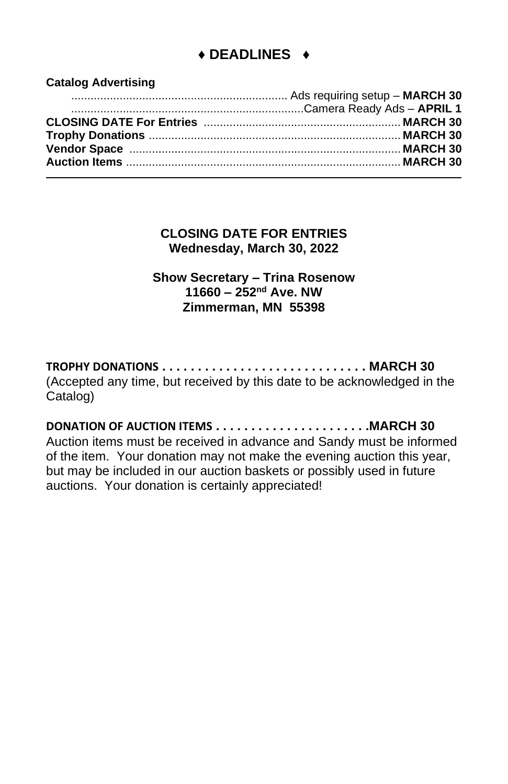# **♦ DEADLINES ♦**

**Catalog Advertising**

**CLOSING DATE FOR ENTRIES Wednesday, March 30, 2022**

**Show Secretary – Trina Rosenow 11660 – 252nd Ave. NW Zimmerman, MN 55398**

**TROPHY DONATIONS . . . . . . . . . . . . . . . . . . . . . . . . . . . . . MARCH 30** (Accepted any time, but received by this date to be acknowledged in the Catalog)

**DONATION OF AUCTION ITEMS . . . . . . . . . . . . . . . . . . . . . .MARCH 30** Auction items must be received in advance and Sandy must be informed of the item. Your donation may not make the evening auction this year, but may be included in our auction baskets or possibly used in future auctions. Your donation is certainly appreciated!